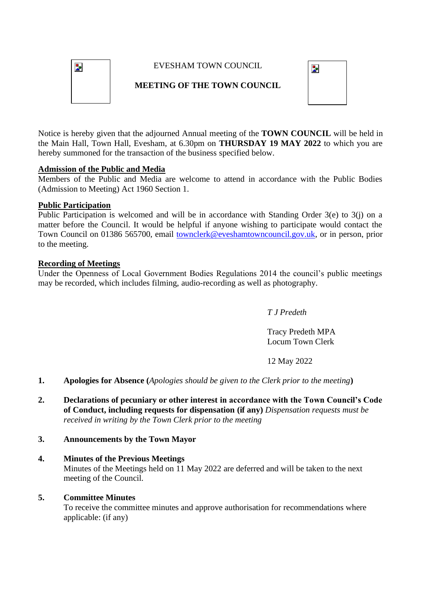

# EVESHAM TOWN COUNCIL

# **MEETING OF THE TOWN COUNCIL**



Notice is hereby given that the adjourned Annual meeting of the **TOWN COUNCIL** will be held in the Main Hall, Town Hall, Evesham, at 6.30pm on **THURSDAY 19 MAY 2022** to which you are hereby summoned for the transaction of the business specified below.

# **Admission of the Public and Media**

Members of the Public and Media are welcome to attend in accordance with the Public Bodies (Admission to Meeting) Act 1960 Section 1.

### **Public Participation**

Public Participation is welcomed and will be in accordance with Standing Order 3(e) to 3(j) on a matter before the Council. It would be helpful if anyone wishing to participate would contact the Town Council on 01386 565700, email [townclerk@eveshamtowncouncil.gov.uk,](mailto:townclerk@eveshamtowncouncil.gov.uk) or in person, prior to the meeting.

### **Recording of Meetings**

Under the Openness of Local Government Bodies Regulations 2014 the council's public meetings may be recorded, which includes filming, audio-recording as well as photography.

*T J Predeth* 

Tracy Predeth MPA Locum Town Clerk

# 12 May 2022

- **1. Apologies for Absence (***Apologies should be given to the Clerk prior to the meeting***)**
- **2. Declarations of pecuniary or other interest in accordance with the Town Council's Code of Conduct, including requests for dispensation (if any)** *Dispensation requests must be received in writing by the Town Clerk prior to the meeting*

# **3. Announcements by the Town Mayor**

### **4. Minutes of the Previous Meetings**

Minutes of the Meetings held on 11 May 2022 are deferred and will be taken to the next meeting of the Council.

### **5. Committee Minutes**

To receive the committee minutes and approve authorisation for recommendations where applicable: (if any)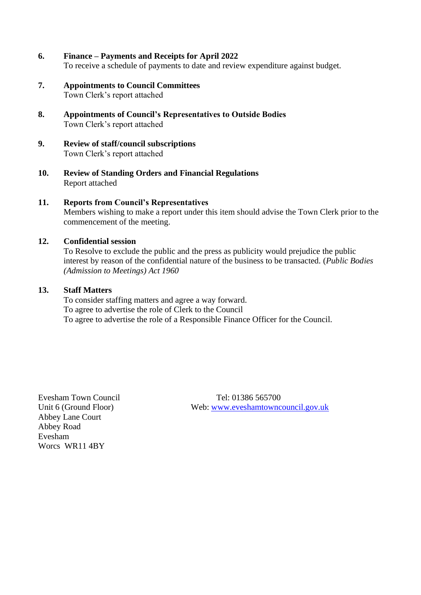- **6. Finance – Payments and Receipts for April 2022** To receive a schedule of payments to date and review expenditure against budget.
- **7. Appointments to Council Committees** Town Clerk's report attached
- **8. Appointments of Council's Representatives to Outside Bodies** Town Clerk's report attached
- **9. Review of staff/council subscriptions** Town Clerk's report attached
- **10. Review of Standing Orders and Financial Regulations** Report attached
- **11. Reports from Council's Representatives** Members wishing to make a report under this item should advise the Town Clerk prior to the commencement of the meeting.

### **12. Confidential session**

To Resolve to exclude the public and the press as publicity would prejudice the public interest by reason of the confidential nature of the business to be transacted. (*Public Bodies (Admission to Meetings) Act 1960*

#### **13. Staff Matters**

To consider staffing matters and agree a way forward. To agree to advertise the role of Clerk to the Council To agree to advertise the role of a Responsible Finance Officer for the Council.

Abbey Lane Court Abbey Road Evesham Worcs WR11 4BY

Evesham Town Council Tel: 01386 565700 Unit 6 (Ground Floor) Web: [www.eveshamtowncouncil.gov.uk](http://www.eveshamtowncouncil.gov.uk/)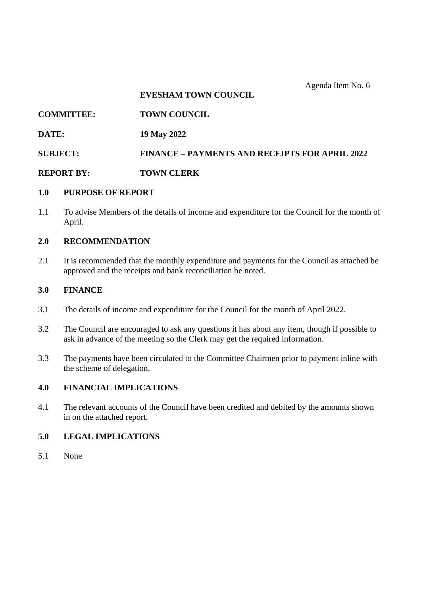#### **EVESHAM TOWN COUNCIL**

# **COMMITTEE: TOWN COUNCIL**

**DATE: 19 May 2022**

**SUBJECT: FINANCE – PAYMENTS AND RECEIPTS FOR APRIL 2022**

### **REPORT BY: TOWN CLERK**

### **1.0 PURPOSE OF REPORT**

1.1 To advise Members of the details of income and expenditure for the Council for the month of April.

### **2.0 RECOMMENDATION**

2.1 It is recommended that the monthly expenditure and payments for the Council as attached be approved and the receipts and bank reconciliation be noted.

### **3.0 FINANCE**

- 3.1 The details of income and expenditure for the Council for the month of April 2022.
- 3.2 The Council are encouraged to ask any questions it has about any item, though if possible to ask in advance of the meeting so the Clerk may get the required information.
- 3.3 The payments have been circulated to the Committee Chairmen prior to payment inline with the scheme of delegation.

### **4.0 FINANCIAL IMPLICATIONS**

4.1 The relevant accounts of the Council have been credited and debited by the amounts shown in on the attached report.

### **5.0 LEGAL IMPLICATIONS**

5.1 None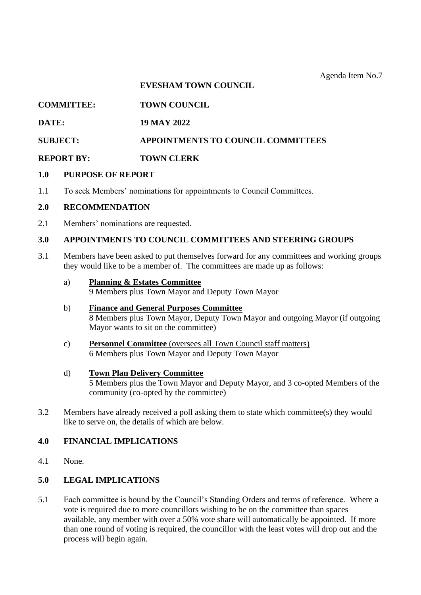# **EVESHAM TOWN COUNCIL**

# **COMMITTEE: TOWN COUNCIL**

### **DATE: 19 MAY 2022**

# **SUBJECT: APPOINTMENTS TO COUNCIL COMMITTEES**

### **REPORT BY: TOWN CLERK**

### **1.0 PURPOSE OF REPORT**

1.1 To seek Members' nominations for appointments to Council Committees.

### **2.0 RECOMMENDATION**

2.1 Members' nominations are requested.

### **3.0 APPOINTMENTS TO COUNCIL COMMITTEES AND STEERING GROUPS**

3.1 Members have been asked to put themselves forward for any committees and working groups they would like to be a member of. The committees are made up as follows:

### a) **Planning & Estates Committee**

9 Members plus Town Mayor and Deputy Town Mayor

- b) **Finance and General Purposes Committee** 8 Members plus Town Mayor, Deputy Town Mayor and outgoing Mayor (if outgoing Mayor wants to sit on the committee)
- c) **Personnel Committee** (oversees all Town Council staff matters) 6 Members plus Town Mayor and Deputy Town Mayor

### d) **Town Plan Delivery Committee**

5 Members plus the Town Mayor and Deputy Mayor, and 3 co-opted Members of the community (co-opted by the committee)

3.2 Members have already received a poll asking them to state which committee(s) they would like to serve on, the details of which are below.

# **4.0 FINANCIAL IMPLICATIONS**

4.1 None.

# **5.0 LEGAL IMPLICATIONS**

5.1 Each committee is bound by the Council's Standing Orders and terms of reference. Where a vote is required due to more councillors wishing to be on the committee than spaces available, any member with over a 50% vote share will automatically be appointed. If more than one round of voting is required, the councillor with the least votes will drop out and the process will begin again.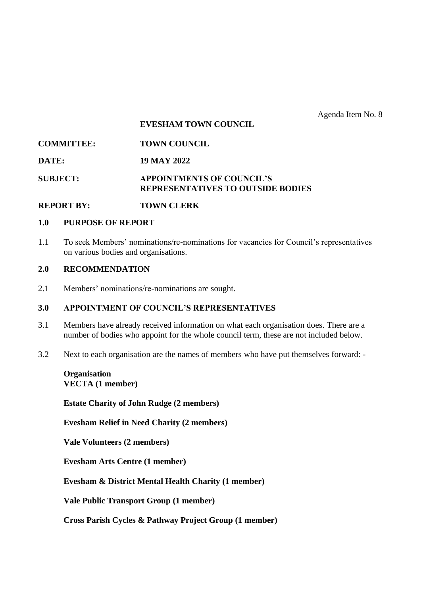#### **EVESHAM TOWN COUNCIL**

| <b>COMMITTEE:</b> | <b>TOWN COUNCIL</b>                                                          |
|-------------------|------------------------------------------------------------------------------|
| DATE:             | 19 MAY 2022                                                                  |
| <b>SUBJECT:</b>   | <b>APPOINTMENTS OF COUNCIL'S</b><br><b>REPRESENTATIVES TO OUTSIDE BODIES</b> |

### **REPORT BY: TOWN CLERK**

#### **1.0 PURPOSE OF REPORT**

1.1 To seek Members' nominations/re-nominations for vacancies for Council's representatives on various bodies and organisations.

# **2.0 RECOMMENDATION**

2.1 Members' nominations/re-nominations are sought.

### **3.0 APPOINTMENT OF COUNCIL'S REPRESENTATIVES**

- 3.1 Members have already received information on what each organisation does. There are a number of bodies who appoint for the whole council term, these are not included below.
- 3.2 Next to each organisation are the names of members who have put themselves forward: -

### **Organisation VECTA (1 member)**

**Estate Charity of John Rudge (2 members)**

**Evesham Relief in Need Charity (2 members)**

**Vale Volunteers (2 members)** 

**Evesham Arts Centre (1 member)** 

**Evesham & District Mental Health Charity (1 member)**

**Vale Public Transport Group (1 member)**

**Cross Parish Cycles & Pathway Project Group (1 member)**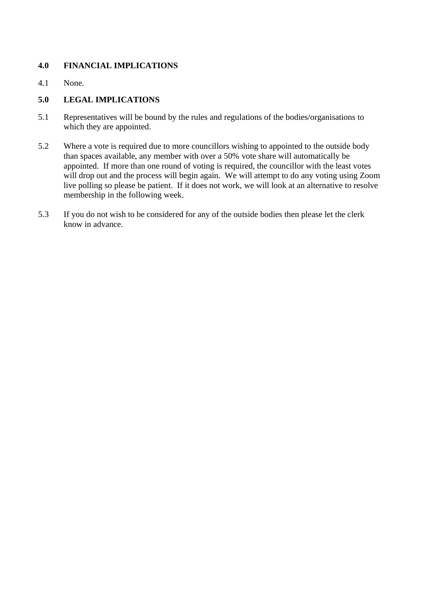# **4.0 FINANCIAL IMPLICATIONS**

4.1 None.

# **5.0 LEGAL IMPLICATIONS**

- 5.1 Representatives will be bound by the rules and regulations of the bodies/organisations to which they are appointed.
- 5.2 Where a vote is required due to more councillors wishing to appointed to the outside body than spaces available, any member with over a 50% vote share will automatically be appointed. If more than one round of voting is required, the councillor with the least votes will drop out and the process will begin again. We will attempt to do any voting using Zoom live polling so please be patient. If it does not work, we will look at an alternative to resolve membership in the following week.
- 5.3 If you do not wish to be considered for any of the outside bodies then please let the clerk know in advance.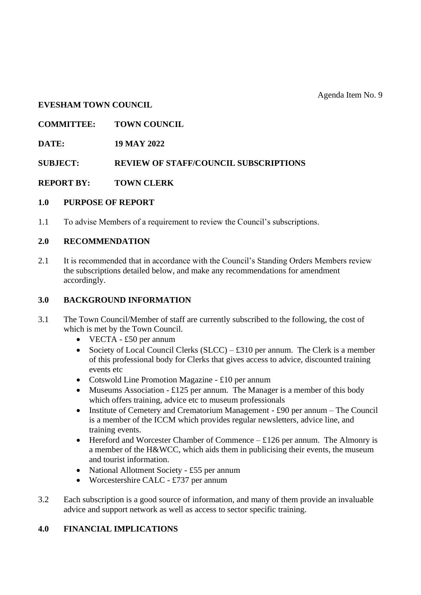### **EVESHAM TOWN COUNCIL**

**COMMITTEE: TOWN COUNCIL**

**DATE: 19 MAY 2022**

**SUBJECT: REVIEW OF STAFF/COUNCIL SUBSCRIPTIONS**

**REPORT BY: TOWN CLERK**

### **1.0 PURPOSE OF REPORT**

1.1 To advise Members of a requirement to review the Council's subscriptions.

# **2.0 RECOMMENDATION**

2.1 It is recommended that in accordance with the Council's Standing Orders Members review the subscriptions detailed below, and make any recommendations for amendment accordingly.

# **3.0 BACKGROUND INFORMATION**

- 3.1 The Town Council/Member of staff are currently subscribed to the following, the cost of which is met by the Town Council.
	- VECTA £50 per annum
	- Society of Local Council Clerks  $(SLCC) £310$  per annum. The Clerk is a member of this professional body for Clerks that gives access to advice, discounted training events etc
	- Cotswold Line Promotion Magazine £10 per annum
	- Museums Association £125 per annum. The Manager is a member of this body which offers training, advice etc to museum professionals
	- Institute of Cemetery and Crematorium Management £90 per annum The Council is a member of the ICCM which provides regular newsletters, advice line, and training events.
	- Hereford and Worcester Chamber of Commence  $-$  £126 per annum. The Almonry is a member of the H&WCC, which aids them in publicising their events, the museum and tourist information.
	- National Allotment Society £55 per annum
	- Worcestershire CALC £737 per annum
- 3.2 Each subscription is a good source of information, and many of them provide an invaluable advice and support network as well as access to sector specific training.

# **4.0 FINANCIAL IMPLICATIONS**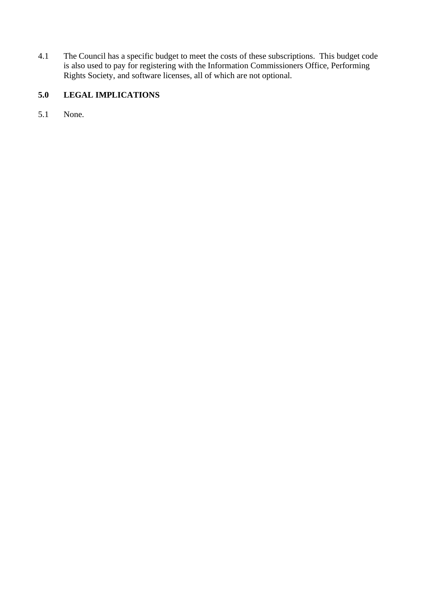4.1 The Council has a specific budget to meet the costs of these subscriptions. This budget code is also used to pay for registering with the Information Commissioners Office, Performing Rights Society, and software licenses, all of which are not optional.

# **5.0 LEGAL IMPLICATIONS**

5.1 None.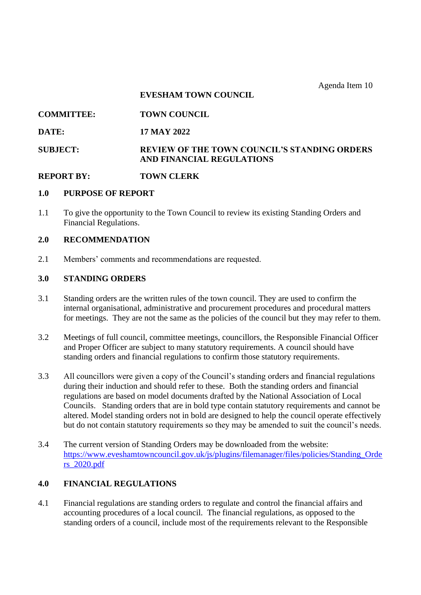Agenda Item 10

#### **EVESHAM TOWN COUNCIL**

**COMMITTEE: TOWN COUNCIL**

### **DATE: 17 MAY 2022**

# **SUBJECT: REVIEW OF THE TOWN COUNCIL'S STANDING ORDERS AND FINANCIAL REGULATIONS**

### **REPORT BY: TOWN CLERK**

# **1.0 PURPOSE OF REPORT**

1.1 To give the opportunity to the Town Council to review its existing Standing Orders and Financial Regulations.

#### **2.0 RECOMMENDATION**

2.1 Members' comments and recommendations are requested.

#### **3.0 STANDING ORDERS**

- 3.1 Standing orders are the written rules of the town council. They are used to confirm the internal organisational, administrative and procurement procedures and procedural matters for meetings. They are not the same as the policies of the council but they may refer to them.
- 3.2 Meetings of full council, committee meetings, councillors, the Responsible Financial Officer and Proper Officer are subject to many statutory requirements. A council should have standing orders and financial regulations to confirm those statutory requirements.
- 3.3 All councillors were given a copy of the Council's standing orders and financial regulations during their induction and should refer to these. Both the standing orders and financial regulations are based on model documents drafted by the National Association of Local Councils. Standing orders that are in bold type contain statutory requirements and cannot be altered. Model standing orders not in bold are designed to help the council operate effectively but do not contain statutory requirements so they may be amended to suit the council's needs.
- 3.4 The current version of Standing Orders may be downloaded from the website: [https://www.eveshamtowncouncil.gov.uk/js/plugins/filemanager/files/policies/Standing\\_Orde](https://www.eveshamtowncouncil.gov.uk/js/plugins/filemanager/files/policies/Standing_Orders_2020.pdf) [rs\\_2020.pdf](https://www.eveshamtowncouncil.gov.uk/js/plugins/filemanager/files/policies/Standing_Orders_2020.pdf)

# **4.0 FINANCIAL REGULATIONS**

4.1 Financial regulations are standing orders to regulate and control the financial affairs and accounting procedures of a local council. The financial regulations, as opposed to the standing orders of a council, include most of the requirements relevant to the Responsible